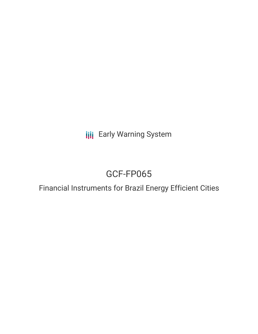**III** Early Warning System

# GCF-FP065

# Financial Instruments for Brazil Energy Efficient Cities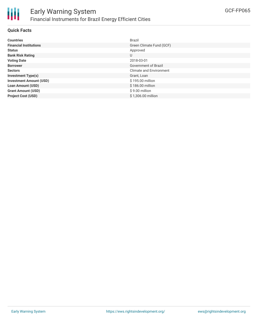

### **Quick Facts**

| <b>Countries</b>               | Brazil                         |
|--------------------------------|--------------------------------|
| <b>Financial Institutions</b>  | Green Climate Fund (GCF)       |
| <b>Status</b>                  | Approved                       |
| <b>Bank Risk Rating</b>        | U                              |
| <b>Voting Date</b>             | 2018-03-01                     |
| <b>Borrower</b>                | Government of Brazil           |
| <b>Sectors</b>                 | <b>Climate and Environment</b> |
| <b>Investment Type(s)</b>      | Grant, Loan                    |
| <b>Investment Amount (USD)</b> | \$195.00 million               |
| <b>Loan Amount (USD)</b>       | \$186.00 million               |
| <b>Grant Amount (USD)</b>      | \$9.00 million                 |
| <b>Project Cost (USD)</b>      | \$1,306.00 million             |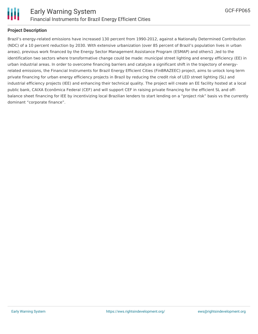

## **Project Description**

Brazil's energy-related emissions have increased 130 percent from 1990-2012, against a Nationally Determined Contribution (NDC) of a 10 percent reduction by 2030. With extensive urbanization (over 85 percent of Brazil's population lives in urban areas), previous work financed by the Energy Sector Management Assistance Program (ESMAP) and others1 ,led to the identification two sectors where transformative change could be made: municipal street lighting and energy efficiency (EE) in urban industrial areas. In order to overcome financing barriers and catalyze a significant shift in the trajectory of energyrelated emissions, the Financial Instruments for Brazil Energy Efficient Cities (FinBRAZEEC) project, aims to unlock long term private financing for urban energy efficiency projects in Brazil by reducing the credit risk of LED street lighting (SL) and industrial efficiency projects (IEE) and enhancing their technical quality. The project will create an EE facility hosted at a local public bank, CAIXA Econômica Federal (CEF) and will support CEF in raising private financing for the efficient SL and offbalance sheet financing for IEE by incentivizing local Brazilian lenders to start lending on a "project risk" basis vs the currently dominant "corporate finance".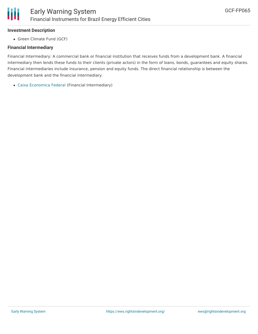## **Investment Description**

• Green Climate Fund (GCF)

# **Financial Intermediary**

Financial Intermediary: A commercial bank or financial institution that receives funds from a development bank. A financial intermediary then lends these funds to their clients (private actors) in the form of loans, bonds, guarantees and equity shares. Financial intermediaries include insurance, pension and equity funds. The direct financial relationship is between the development bank and the financial intermediary.

Caixa [Economica](file:///actor/456/) Federal (Financial Intermediary)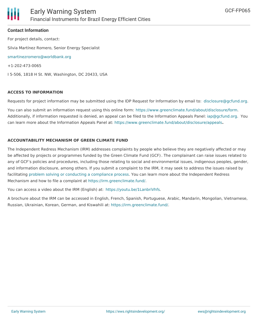

#### **Contact Information**

For project details, contact: Silvia Martínez Romero, Senior Energy Specialist [smartinezromero@worldbank.org](mailto:smartinezromero@worldbank.org) +1-202-473-0065 I 5-506, 1818 H St. NW, Washington, DC 20433, USA

#### **ACCESS TO INFORMATION**

Requests for project information may be submitted using the IDP Request for Information by email to: [disclosure@gcfund.org](mailto:disclosure@gcfund.org).

You can also submit an information request using this online form: <https://www.greenclimate.fund/about/disclosure/form>. Additionally, if information requested is denied, an appeal can be filed to the Information Appeals Panel: [iap@gcfund.org](mailto:iap@gcfund.org). You can learn more about the Information Appeals Panel at: <https://www.greenclimate.fund/about/disclosure/appeals>**.**

#### **ACCOUNTABILITY MECHANISM OF GREEN CLIMATE FUND**

The Independent Redress Mechanism (IRM) addresses complaints by people who believe they are negatively affected or may be affected by projects or programmes funded by the Green Climate Fund (GCF). The complainant can raise issues related to any of GCF's policies and procedures, including those relating to social and environmental issues, indigenous peoples, gender, and information disclosure, among others. If you submit a complaint to the IRM, it may seek to address the issues raised by facilitating problem solving or conducting a [compliance](https://irm.greenclimate.fund/about-the-irm/how-we-work) process. You can learn more about the Independent Redress Mechanism and how to file a complaint at <https://irm.greenclimate.fund/>.

You can access a video about the IRM (English) at: <https://youtu.be/1LanbriVhfs>.

A brochure about the IRM can be accessed in English, French, Spanish, Portuguese, Arabic, Mandarin, Mongolian, Vietnamese, Russian, Ukrainian, Korean, German, and Kiswahili at: <https://irm.greenclimate.fund/>.